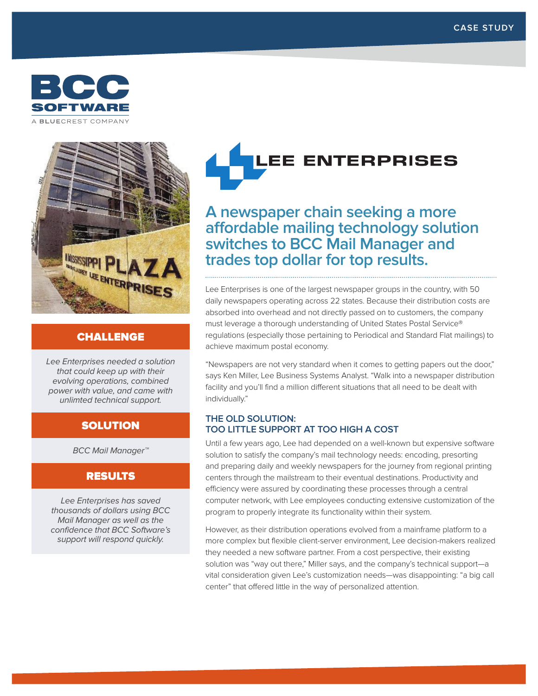



## CHALLENGE

Lee Enterprises needed a solution that could keep up with their evolving operations, combined power with value, and came with unlimted technical support.

# **SOLUTION**

BCC Mail Manager™

### RESULTS

Lee Enterprises has saved thousands of dollars using BCC Mail Manager as well as the confidence that BCC Software's support will respond quickly.

# **LEE ENTERPRISES**

**A newspaper chain seeking a more affordable mailing technology solution switches to BCC Mail Manager and trades top dollar for top results.** 

Lee Enterprises is one of the largest newspaper groups in the country, with 50 daily newspapers operating across 22 states. Because their distribution costs are absorbed into overhead and not directly passed on to customers, the company must leverage a thorough understanding of United States Postal Service® regulations (especially those pertaining to Periodical and Standard Flat mailings) to achieve maximum postal economy.

"Newspapers are not very standard when it comes to getting papers out the door," says Ken Miller, Lee Business Systems Analyst. "Walk into a newspaper distribution facility and you'll find a million different situations that all need to be dealt with individually."

#### **THE OLD SOLUTION: TOO LITTLE SUPPORT AT TOO HIGH A COST**

Until a few years ago, Lee had depended on a well-known but expensive software solution to satisfy the company's mail technology needs: encoding, presorting and preparing daily and weekly newspapers for the journey from regional printing centers through the mailstream to their eventual destinations. Productivity and efficiency were assured by coordinating these processes through a central computer network, with Lee employees conducting extensive customization of the program to properly integrate its functionality within their system.

However, as their distribution operations evolved from a mainframe platform to a more complex but flexible client-server environment, Lee decision-makers realized they needed a new software partner. From a cost perspective, their existing solution was "way out there," Miller says, and the company's technical support—a vital consideration given Lee's customization needs—was disappointing: "a big call center" that offered little in the way of personalized attention.